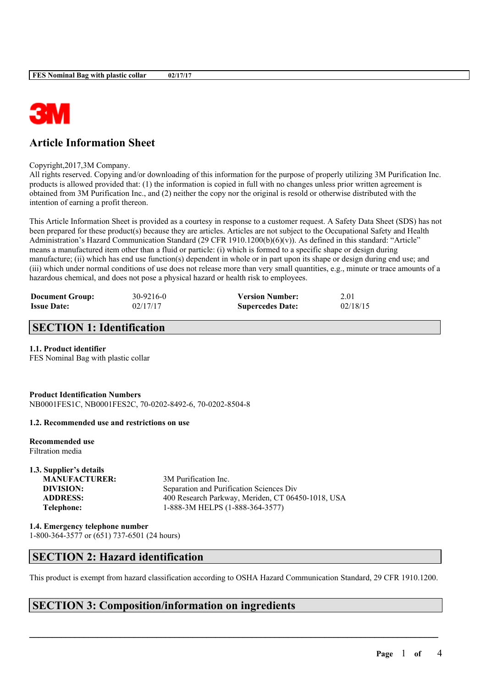

# **Article Information Sheet**

Copyright,2017,3M Company.

All rights reserved. Copying and/or downloading of this information for the purpose of properly utilizing 3M Purification Inc. products is allowed provided that: (1) the information is copied in full with no changes unless prior written agreement is obtained from 3M Purification Inc., and (2) neither the copy nor the original is resold or otherwise distributed with the intention of earning a profit thereon.

This Article Information Sheet is provided as a courtesy in response to a customer request. A Safety Data Sheet (SDS) has not been prepared for these product(s) because they are articles. Articles are not subject to the Occupational Safety and Health Administration's Hazard Communication Standard (29 CFR 1910.1200(b)(6)(v)). As defined in this standard: "Article" means a manufactured item other than a fluid or particle: (i) which is formed to a specific shape or design during manufacture; (ii) which has end use function(s) dependent in whole or in part upon its shape or design during end use; and (iii) which under normal conditions of use does not release more than very small quantities, e.g., minute or trace amounts of a hazardous chemical, and does not pose a physical hazard or health risk to employees.

| <b>Document Group:</b> | 30-9216-0 | <b>Version Number:</b>  | 2.01     |
|------------------------|-----------|-------------------------|----------|
| <b>Issue Date:</b>     | 02/17/17  | <b>Supercedes Date:</b> | 02/18/15 |

# **SECTION 1: Identification**

### **1.1. Product identifier**

FES Nominal Bag with plastic collar

**Product Identification Numbers** NB0001FES1C, NB0001FES2C, 70-0202-8492-6, 70-0202-8504-8

### **1.2. Recommended use and restrictions on use**

**Recommended use** Filtration media

**1.3. Supplier's details MANUFACTURER:** 3M Purification Inc.

**DIVISION:** Separation and Purification Sciences Div **ADDRESS:** 400 Research Parkway, Meriden, CT 06450-1018, USA **Telephone:** 1-888-3M HELPS (1-888-364-3577)

**1.4. Emergency telephone number**

1-800-364-3577 or (651) 737-6501 (24 hours)

# **SECTION 2: Hazard identification**

This product is exempt from hazard classification according to OSHA Hazard Communication Standard, 29 CFR 1910.1200.

 $\mathcal{L}_\mathcal{L} = \mathcal{L}_\mathcal{L} = \mathcal{L}_\mathcal{L} = \mathcal{L}_\mathcal{L} = \mathcal{L}_\mathcal{L} = \mathcal{L}_\mathcal{L} = \mathcal{L}_\mathcal{L} = \mathcal{L}_\mathcal{L} = \mathcal{L}_\mathcal{L} = \mathcal{L}_\mathcal{L} = \mathcal{L}_\mathcal{L} = \mathcal{L}_\mathcal{L} = \mathcal{L}_\mathcal{L} = \mathcal{L}_\mathcal{L} = \mathcal{L}_\mathcal{L} = \mathcal{L}_\mathcal{L} = \mathcal{L}_\mathcal{L}$ 

## **SECTION 3: Composition/information on ingredients**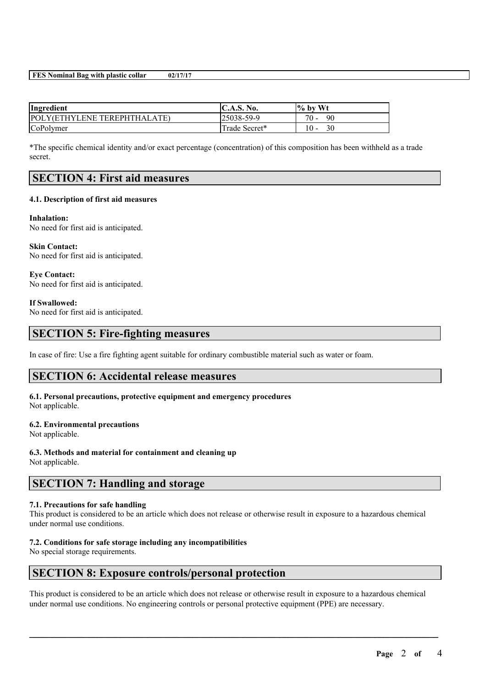### **FES Nominal Bag with plastic collar 02/17/17**

| Ingredient                   | C.A.S. No.    | $\%$ by Wt   |
|------------------------------|---------------|--------------|
| POLY(ETHYLENE TEREPHTHALATE) | 25038-59-9    | $70 -$<br>90 |
| CoPolymer                    | Trade Secret* | 30<br>$10-$  |

\*The specific chemical identity and/or exact percentage (concentration) of this composition has been withheld as a trade secret.

## **SECTION 4: First aid measures**

### **4.1. Description of first aid measures**

**Inhalation:** No need for first aid is anticipated.

**Skin Contact:** No need for first aid is anticipated.

**Eye Contact:** No need for first aid is anticipated.

#### **If Swallowed:**

No need for first aid is anticipated.

## **SECTION 5: Fire-fighting measures**

In case of fire: Use a fire fighting agent suitable for ordinary combustible material such as water or foam.

### **SECTION 6: Accidental release measures**

### **6.1. Personal precautions, protective equipment and emergency procedures** Not applicable.

### **6.2. Environmental precautions**

Not applicable.

### **6.3. Methods and material for containment and cleaning up**

Not applicable.

# **SECTION 7: Handling and storage**

### **7.1. Precautions for safe handling**

This product is considered to be an article which does not release or otherwise result in exposure to a hazardous chemical under normal use conditions.

### **7.2. Conditions for safe storage including any incompatibilities**

No special storage requirements.

### **SECTION 8: Exposure controls/personal protection**

This product is considered to be an article which does not release or otherwise result in exposure to a hazardous chemical under normal use conditions. No engineering controls or personal protective equipment (PPE) are necessary.

 $\mathcal{L}_\mathcal{L} = \mathcal{L}_\mathcal{L} = \mathcal{L}_\mathcal{L} = \mathcal{L}_\mathcal{L} = \mathcal{L}_\mathcal{L} = \mathcal{L}_\mathcal{L} = \mathcal{L}_\mathcal{L} = \mathcal{L}_\mathcal{L} = \mathcal{L}_\mathcal{L} = \mathcal{L}_\mathcal{L} = \mathcal{L}_\mathcal{L} = \mathcal{L}_\mathcal{L} = \mathcal{L}_\mathcal{L} = \mathcal{L}_\mathcal{L} = \mathcal{L}_\mathcal{L} = \mathcal{L}_\mathcal{L} = \mathcal{L}_\mathcal{L}$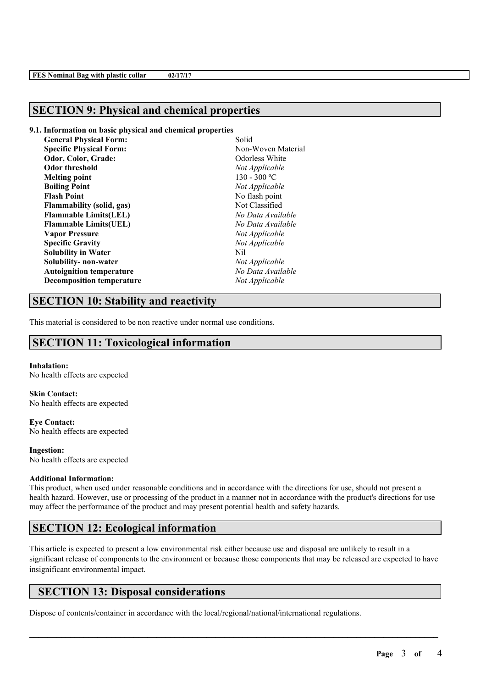## **SECTION 9: Physical and chemical properties**

### **9.1. Information on basic physical and chemical properties**

| <b>General Physical Form:</b>    | Solid              |
|----------------------------------|--------------------|
| <b>Specific Physical Form:</b>   | Non-Woven Material |
| Odor, Color, Grade:              | Odorless White     |
| <b>Odor threshold</b>            | Not Applicable     |
| <b>Melting point</b>             | $130 - 300$ °C     |
| <b>Boiling Point</b>             | Not Applicable     |
| <b>Flash Point</b>               | No flash point     |
| Flammability (solid, gas)        | Not Classified     |
| <b>Flammable Limits(LEL)</b>     | No Data Available  |
| <b>Flammable Limits(UEL)</b>     | No Data Available  |
| <b>Vapor Pressure</b>            | Not Applicable     |
| <b>Specific Gravity</b>          | Not Applicable     |
| <b>Solubility in Water</b>       | Nil                |
| Solubility- non-water            | Not Applicable     |
| <b>Autoignition temperature</b>  | No Data Available  |
| <b>Decomposition temperature</b> | Not Applicable     |
|                                  |                    |

## **SECTION 10: Stability and reactivity**

This material is considered to be non reactive under normal use conditions.

# **SECTION 11: Toxicological information**

### **Inhalation:**

No health effects are expected

**Skin Contact:** No health effects are expected

**Eye Contact:** No health effects are expected

**Ingestion:** No health effects are expected

### **Additional Information:**

This product, when used under reasonable conditions and in accordance with the directions for use, should not present a health hazard. However, use or processing of the product in a manner not in accordance with the product's directions for use may affect the performance of the product and may present potential health and safety hazards.

## **SECTION 12: Ecological information**

This article is expected to present a low environmental risk either because use and disposal are unlikely to result in a significant release of components to the environment or because those components that may be released are expected to have insignificant environmental impact.

 $\mathcal{L}_\mathcal{L} = \mathcal{L}_\mathcal{L} = \mathcal{L}_\mathcal{L} = \mathcal{L}_\mathcal{L} = \mathcal{L}_\mathcal{L} = \mathcal{L}_\mathcal{L} = \mathcal{L}_\mathcal{L} = \mathcal{L}_\mathcal{L} = \mathcal{L}_\mathcal{L} = \mathcal{L}_\mathcal{L} = \mathcal{L}_\mathcal{L} = \mathcal{L}_\mathcal{L} = \mathcal{L}_\mathcal{L} = \mathcal{L}_\mathcal{L} = \mathcal{L}_\mathcal{L} = \mathcal{L}_\mathcal{L} = \mathcal{L}_\mathcal{L}$ 

## **SECTION 13: Disposal considerations**

Dispose of contents/container in accordance with the local/regional/national/international regulations.